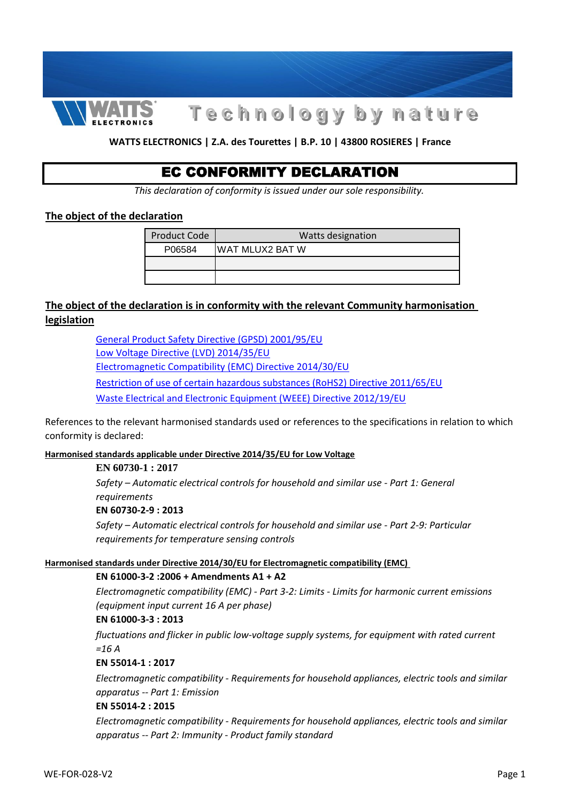

# **T e c h n o l o g y b y n a t u r e**

#### **WATTS ELECTRONICS | Z.A. des Tourettes | B.P. 10 | 43800 ROSIERES | France**

# EC CONFORMITY DECLARATION

*This declaration of conformity is issued under our sole responsibility.*

#### **The object of the declaration**

| <b>Product Code</b> | Watts designation |
|---------------------|-------------------|
| P06584              | IWAT MLUX2 BAT W  |
|                     |                   |
|                     |                   |

# **The object of the declaration is in conformity with the relevant Community harmonisation legislation**

[General Product Safety Directive \(GPSD\) 2001/95/EU](http://ec.europa.eu/consumers/consumers_safety/product_safety_legislation/index_en.htm) [Low Voltage Directive \(LVD\) 2014/35/EU](http://eur-lex.europa.eu/legal-content/AUTO/?uri=CELEX:32014L0035&qid=1461336551167&rid=1) [Electromagnetic Compatibility \(EMC\) Directive 2014/30/EU](http://eur-lex.europa.eu/legal-content/EN/TXT/?qid=1461936830934&uri=CELEX:32014L0030) [Restriction of use of certain hazardous substances \(RoHS2\) Directive 2011/65/EU](http://eur-lex.europa.eu/legal-content/EN/TXT/?uri=CELEX:32011L0065&locale=en) [Waste Electrical and Electronic Equipment \(WEEE\) Directive 2012/19/EU](https://eur-lex.europa.eu/legal-content/EN/TXT/?uri=CELEX:32012L0019)

conformity is declared:<br> References to the relevant harmonised standards used or references to the specifications in relation to which

#### **Harmonised standards applicable under Directive 2014/35/EU for Low Voltage**

#### **EN 60730-1 : 2017**

*Safety – Automatic electrical controls for household and similar use - Part 1: General requirements*

#### **EN 60730-2-9 : 2013**

*Safety – Automatic electrical controls for household and similar use - Part 2-9: Particular requirements for temperature sensing controls*

#### **Harmonised standards under Directive 2014/30/EU for Electromagnetic compatibility (EMC)**

#### **EN 61000-3-2 :2006 + Amendments A1 + A2**

*Electromagnetic compatibility (EMC) - Part 3-2: Limits - Limits for harmonic current emissions (equipment input current 16 A per phase)*

# **EN 61000-3-3 : 2013** *Electromagnetic compatibility (EMC) - Part 3-3: Limits - Limitation of voltage changes, voltage*

*fluctuations and flicker in public low-voltage supply systems, for equipment with rated current =16 A*

#### **EN 55014-1 : 2017**

*Electromagnetic compatibility - Requirements for household appliances, electric tools and similar apparatus -- Part 1: Emission*

#### **EN 55014-2 : 2015**

*Electromagnetic compatibility - Requirements for household appliances, electric tools and similar apparatus -- Part 2: Immunity - Product family standard*